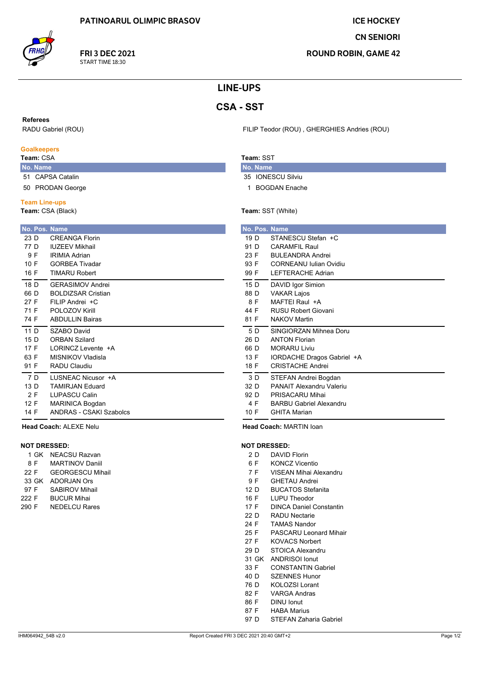**FRI 3 DEC 2021** 

START TIME 18:30

**ICE HOCKEY** 

**CN SENIORI** 

**ROUND ROBIN, GAME 42** 

# **LINE-UPS**

# **CSA - SST**

### **Referees**

RADU Gabriel (ROU)

### **Goalkeepers**

Team: CSA

- No. Name 51 CAPSA Catalin
- 50 PRODAN George

### **Team Line-ups**

Team: CSA (Black)

|                 | No. Pos. Name              |
|-----------------|----------------------------|
| 23 D            | CREANGA Florin             |
| 77 D            | <b>IUZEEV Mikhail</b>      |
|                 |                            |
| 9 F             | <b>IRIMIA Adrian</b>       |
| 10 F            | <b>GORBEA Tivadar</b>      |
| 16 F            | <b>TIMARU Robert</b>       |
| 18 D            | <b>GFRASIMOV Andrei</b>    |
| 66 D            | <b>BOLDIZSAR Cristian</b>  |
| 27 F            | FII IP Andrei +C           |
| 71 F            | POLOZOV Kirill             |
| 74 F            | <b>ABDULLIN Bairas</b>     |
| 11 <sub>D</sub> | SZABO David                |
| 15 D            | <b>ORBAN Szilard</b>       |
| 17 F            | I ORINCZ Levente +A        |
| 63 F            | MISNIKOV Vladisla          |
| 91 F            | RADU Claudiu               |
| 7 D             | <b>I USNEAC Nicusor +A</b> |
| 13 $D$          | <b>TAMIRJAN Fduard</b>     |
| 2 F             | <b>LUPASCU Calin</b>       |
| 12 F            | MARINICA Bogdan            |
| 14 F            | ANDRAS - CSAKI Szabolcs    |
|                 |                            |

Head Coach: ALEXE Nelu

## **NOT DRESSED:**

| 1 GK  | NEACSU Razvan           |
|-------|-------------------------|
| 8 F   | <b>MARTINOV Daniil</b>  |
| 22 F  | <b>GEORGESCU Mihail</b> |
| 33 GK | <b>ADORJAN Ors</b>      |
| 97 F  | <b>SABIROV Mihail</b>   |
| 222 F | <b>BUCUR Mihai</b>      |
| 290 F | <b>NEDELCU Rares</b>    |
|       |                         |

FILIP Teodor (ROU), GHERGHIES Andries (ROU)

# Team: SST

- No. Name 35 IONESCU Silviu
- 1 BOGDAN Enache

## Team: SST (White)

|                 | No. Pos. Name                  |
|-----------------|--------------------------------|
| 19 D            | STANESCU Stefan +C             |
| 91 D            | CARAMEII Raul                  |
| 23 F            | <b>BULFANDRA Andrei</b>        |
| 93 F            | CORNEANU Julian Ovidiu         |
| 99 F            | <b>LEFTERACHE Adrian</b>       |
| 15 D            | DAVID Igor Simion              |
| 88 D            | <b>VAKAR Lajos</b>             |
| 8 F             | MAFTFI Raul +A                 |
| 44 F            | RUSU Robert Giovani            |
| 81 F            | <b>NAKOV Martin</b>            |
| 5 D             | SINGIORZAN Mihnea Doru         |
| 26 D            | <b>ANTON Florian</b>           |
| 66 D            | MORARU Liviu                   |
| 13 F            | IORDACHE Dragos Gabriel +A     |
| 18 F            | <b>CRISTACHE Andrei</b>        |
| 3 D             | STEFAN Andrei Bogdan           |
| 32 D            | PANAIT Alexandru Valeriu       |
| 92 <sub>D</sub> | PRISACARU Mihai                |
| 4 F             | <b>BARBU Gabriel Alexandru</b> |
| 10 F            | <b>GHITA Marian</b>            |

Head Coach: MARTIN Ioan

### **NOT DRESSED:**

- $2D$ **DAVID Florin**
- $6F$ **KONCZ Vicentio**
- VISEAN Mihai Alexandru  $7F$
- 9F **GHETAU Andrei**
- **BUCATOS Stefanita** 12 D
- 16 F LUPU Theodor
- $17 F$ **DINCA Daniel Constantin**
- $22D$ **RADU Nectarie**
- 24 F **TAMAS Nandor**
- 25 F **PASCARU Leonard Mihair**
- 27 F **KOVACS Norbert**
- 29 D STOICA Alexandru
- 31 GK ANDRISOI Ionut
- **CONSTANTIN Gabriel**  $33 F$
- 40 D **SZENNES Hunor**
- 76 D **KOLOZSI Lorant**
- 82 F **VARGA Andras**
- 86 F DINU Ionut
- 87 F **HABA Marius**
- STEFAN Zaharia Gabriel 97 D